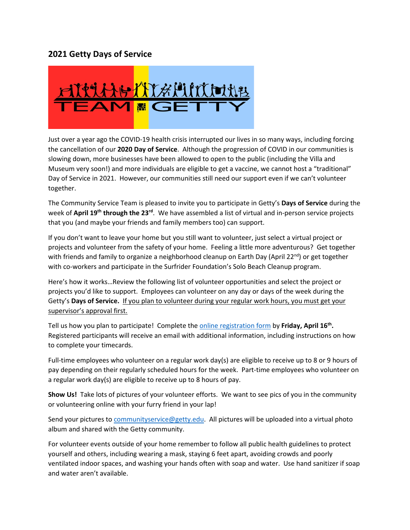## **2021 Getty Days of Service**



Just over a year ago the COVID-19 health crisis interrupted our lives in so many ways, including forcing the cancellation of our **2020 Day of Service**. Although the progression of COVID in our communities is slowing down, more businesses have been allowed to open to the public (including the Villa and Museum very soon!) and more individuals are eligible to get a vaccine, we cannot host a "traditional" Day of Service in 2021. However, our communities still need our support even if we can't volunteer together.

The Community Service Team is pleased to invite you to participate in Getty's **Days of Service** during the week of **April 19th through the 23rd**.We have assembled a list of virtual and in-person service projects that you (and maybe your friends and family members too) can support.

If you don't want to leave your home but you still want to volunteer, just select a virtual project or projects and volunteer from the safety of your home. Feeling a little more adventurous? Get together with friends and family to organize a neighborhood cleanup on Earth Day (April 22<sup>nd</sup>) or get together with co-workers and participate in the Surfrider Foundation's Solo Beach Cleanup program.

Here's how it works…Review the following list of volunteer opportunities and select the project or projects you'd like to support. Employees can volunteer on any day or days of the week during the Getty's **Days of Service.** If you plan to volunteer during your regular work hours, you must get your supervisor's approval first.

Tell us how you plan to participate! Complete the [online registration form](https://www.surveymonkey.com/r/DOS21) by **Friday, April 16th.** Registered participants will receive an email with additional information, including instructions on how to complete your timecards.

Full-time employees who volunteer on a regular work day(s) are eligible to receive up to 8 or 9 hours of pay depending on their regularly scheduled hours for the week. Part-time employees who volunteer on a regular work day(s) are eligible to receive up to 8 hours of pay.

**Show Us!** Take lots of pictures of your volunteer efforts. We want to see pics of you in the community or volunteering online with your furry friend in your lap!

Send your pictures to [communityservice@getty.edu.](mailto:communityservice@getty.edu) All pictures will be uploaded into a virtual photo album and shared with the Getty community.

For volunteer events outside of your home remember to follow all public health guidelines to protect yourself and others, including wearing a mask, staying 6 feet apart, avoiding crowds and poorly ventilated indoor spaces, and washing your hands often with soap and water. Use hand sanitizer if soap and water aren't available.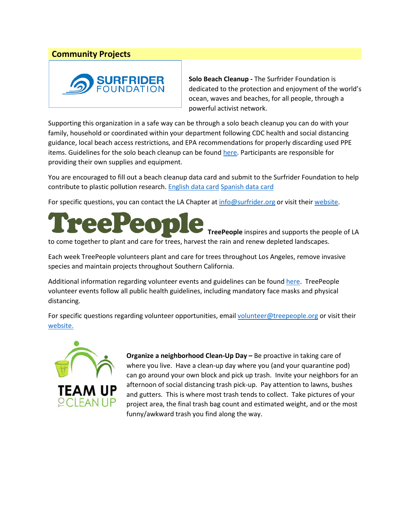## **Community Projects**



**Solo Beach Cleanup -** The Surfrider Foundation is dedicated to the protection and enjoyment of the world's ocean, waves and beaches, for all people, through a powerful activist network.

Supporting this organization in a safe way can be through a solo beach cleanup you can do with your family, household or coordinated within your department following CDC health and social distancing guidance, local beach access restrictions, and EPA recommendations for properly discarding used PPE items. Guidelines for the solo beach cleanup can be found [here.](https://www.surfrider.org/coastal-blog/entry/solo-beach-cleanup-guidelines) Participants are responsible for providing their own supplies and equipment.

You are encouraged to fill out a beach cleanup data card and submit to the Surfrider Foundation to help contribute to plastic pollution research. [English data card](https://la.surfrider.org/wp-content/uploads/2020/07/SFLA-SoloBeachCleanup-Data-Card.pdf) [Spanish data card](https://la.surfrider.org/wp-content/uploads/2020/09/SFLA-ASolasLimpiezaCostera-Tarjeta-de-datos-.pdf)

For specific questions, you can contact the LA Chapter at [info@surfrider.org](mailto:info@surfrider.org) or visit their [website.](https://la.surfrider.org/contact/)



to come together to plant and care for trees, harvest the rain and renew depleted landscapes.

Each week TreePeople volunteers plant and care for trees throughout Los Angeles, remove invasive species and maintain projects throughout Southern California.

Additional information regarding volunteer events and guidelines can be foun[d here.](https://www.treepeople.org/volunteer/) TreePeople volunteer events follow all public health guidelines, including mandatory face masks and physical distancing.

For specific questions regarding volunteer opportunities, email [volunteer@treepeople.org](mailto:volunteer@treepeople.org) or visit their [website.](https://www.treepeople.org/)



**Organize a neighborhood Clean-Up Day –** Be proactive in taking care of where you live. Have a clean-up day where you (and your quarantine pod) can go around your own block and pick up trash. Invite your neighbors for an afternoon of social distancing trash pick-up. Pay attention to lawns, bushes and gutters. This is where most trash tends to collect. Take pictures of your project area, the final trash bag count and estimated weight, and or the most funny/awkward trash you find along the way.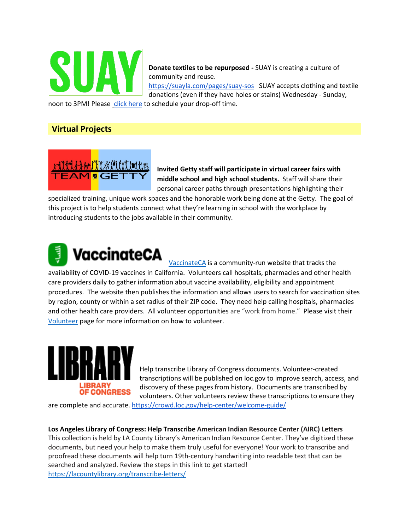

**Donate textiles to be repurposed -** SUAY is creating a culture of community and reuse.

<https://suayla.com/pages/suay-sos> SUAY accepts clothing and textile donations (even if they have holes or stains) Wednesday - Sunday,

noon to 3PM! Pleas[e click here](https://suay.simplybook.me/v2/#book/service/1) to schedule your drop-off time.

## **Virtual Projects**



**Invited Getty staff will participate in virtual career fairs with middle school and high school students.** Staff will share their personal career paths through presentations highlighting their

specialized training, unique work spaces and the honorable work being done at the Getty. The goal of this project is to help students connect what they're learning in school with the workplace by introducing students to the jobs available in their community.

## VaccinateCA

[VaccinateCA](https://www.vaccinateca.com/) is a community-run website that tracks the availability of COVID-19 vaccines in California. Volunteers call hospitals, pharmacies and other health care providers daily to gather information about vaccine availability, eligibility and appointment procedures. The website then publishes the information and allows users to search for vaccination sites by region, county or within a set radius of their ZIP code. They need help calling hospitals, pharmacies and other health care providers. All volunteer opportunities are "work from home." Please visit their [Volunteer](https://airtable.com/shrdDabBhmG0l9mO0) page for more information on how to volunteer.



Help transcribe Library of Congress documents. Volunteer-created transcriptions will be published on loc.gov to improve search, access, and discovery of these pages from history. Documents are transcribed by volunteers. Other volunteers review these transcriptions to ensure they

are complete and accurate.<https://crowd.loc.gov/help-center/welcome-guide/>

**Los Angeles Library of Congress: Help Transcribe American Indian Resource Center (AIRC) Letters** This collection is held by LA County Library's American Indian Resource Center. They've digitized these documents, but need your help to make them truly useful for everyone! Your work to transcribe and proofread these documents will help turn 19th-century handwriting into readable text that can be searched and analyzed. Review the steps in this link to get started! <https://lacountylibrary.org/transcribe-letters/>